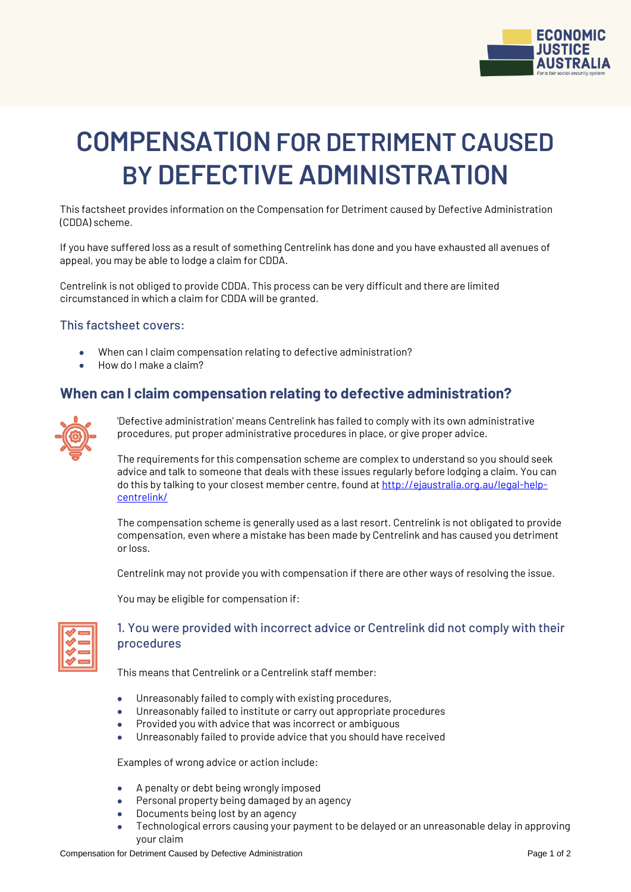

# **COMPENSATION FOR DETRIMENT CAUSED BY DEFECTIVE ADMINISTRATION**

This factsheet provides information on the Compensation for Detriment caused by Defective Administration (CDDA) scheme.

If you have suffered loss as a result of something Centrelink has done and you have exhausted all avenues of appeal, you may be able to lodge a claim for CDDA.

Centrelink is not obliged to provide CDDA. This process can be very difficult and there are limited circumstanced in which a claim for CDDA will be granted.

#### This factsheet covers:

- When can I claim compensation relating to defective administration?
- How do I make a claim?

## **When can I claim compensation relating to defective administration?**



'Defective administration' means Centrelink has failed to comply with its own administrative procedures, put proper administrative procedures in place, or give proper advice.

The requirements for this compensation scheme are complex to understand so you should seek advice and talk to someone that deals with these issues regularly before lodging a claim. You can do this by talking to your closest member centre, found a[t http://ejaustralia.org.au/legal-help](http://ejaustralia.org.au/legal-help-centrelink/)[centrelink/](http://ejaustralia.org.au/legal-help-centrelink/)

The compensation scheme is generally used as a last resort. Centrelink is not obligated to provide compensation, even where a mistake has been made by Centrelink and has caused you detriment or loss.

Centrelink may not provide you with compensation if there are other ways of resolving the issue.

You may be eligible for compensation if:

| _  |
|----|
| __ |
| _  |
| _  |
|    |

### 1. You were provided with incorrect advice or Centrelink did not comply with their procedures

This means that Centrelink or a Centrelink staff member:

- Unreasonably failed to comply with existing procedures,
- Unreasonably failed to institute or carry out appropriate procedures
- Provided you with advice that was incorrect or ambiguous
- Unreasonably failed to provide advice that you should have received

Examples of wrong advice or action include:

- A penalty or debt being wrongly imposed
- Personal property being damaged by an agency
- Documents being lost by an agency
- Technological errors causing your payment to be delayed or an unreasonable delay in approving your claim